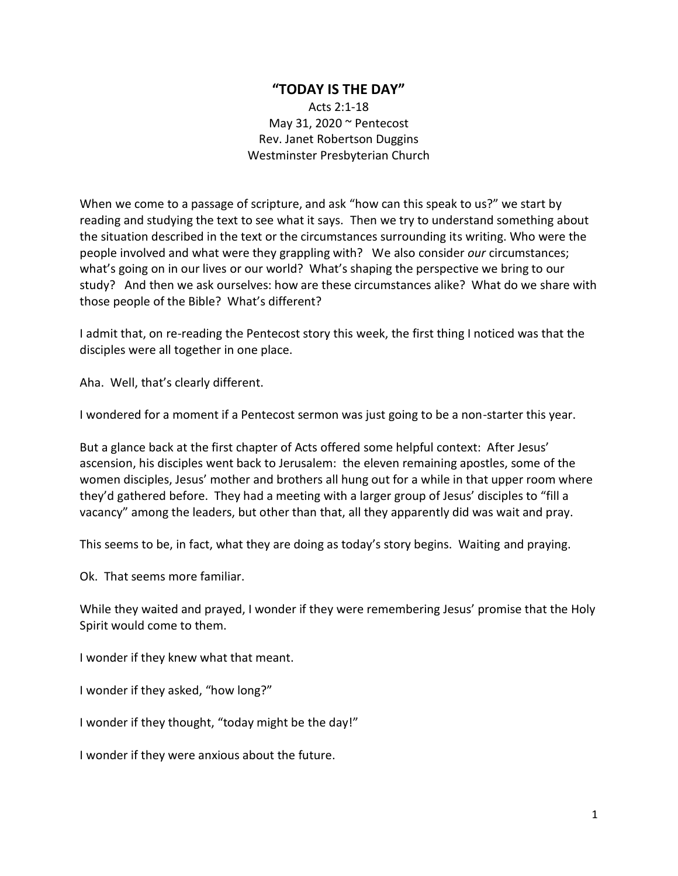## **"TODAY IS THE DAY"**

Acts 2:1-18 May 31, 2020  $\sim$  Pentecost Rev. Janet Robertson Duggins Westminster Presbyterian Church

When we come to a passage of scripture, and ask "how can this speak to us?" we start by reading and studying the text to see what it says. Then we try to understand something about the situation described in the text or the circumstances surrounding its writing. Who were the people involved and what were they grappling with? We also consider *our* circumstances; what's going on in our lives or our world? What's shaping the perspective we bring to our study? And then we ask ourselves: how are these circumstances alike? What do we share with those people of the Bible? What's different?

I admit that, on re-reading the Pentecost story this week, the first thing I noticed was that the disciples were all together in one place.

Aha. Well, that's clearly different.

I wondered for a moment if a Pentecost sermon was just going to be a non-starter this year.

But a glance back at the first chapter of Acts offered some helpful context: After Jesus' ascension, his disciples went back to Jerusalem: the eleven remaining apostles, some of the women disciples, Jesus' mother and brothers all hung out for a while in that upper room where they'd gathered before. They had a meeting with a larger group of Jesus' disciples to "fill a vacancy" among the leaders, but other than that, all they apparently did was wait and pray.

This seems to be, in fact, what they are doing as today's story begins. Waiting and praying.

Ok. That seems more familiar.

While they waited and prayed, I wonder if they were remembering Jesus' promise that the Holy Spirit would come to them.

I wonder if they knew what that meant.

I wonder if they asked, "how long?"

I wonder if they thought, "today might be the day!"

I wonder if they were anxious about the future.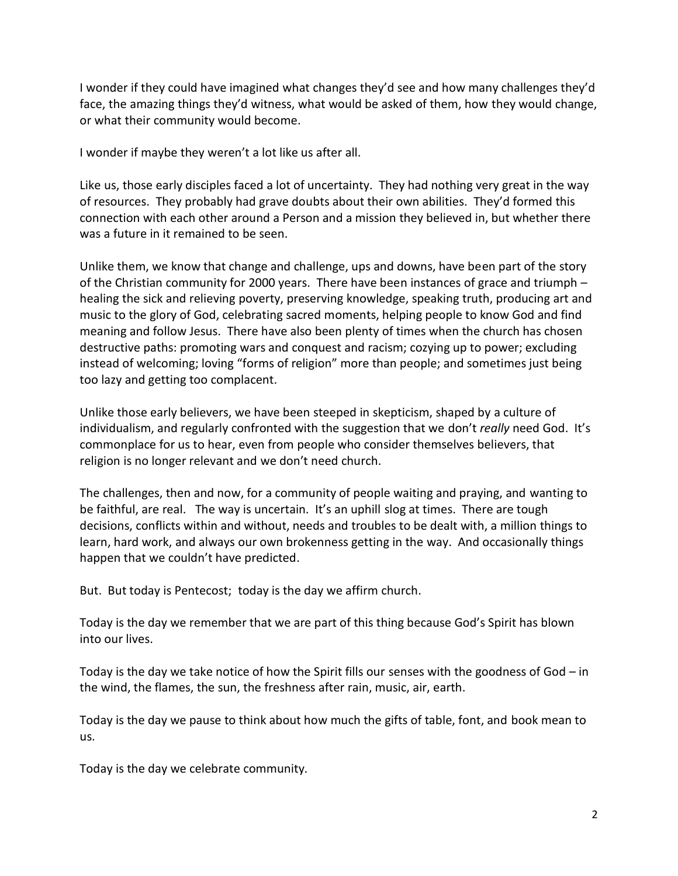I wonder if they could have imagined what changes they'd see and how many challenges they'd face, the amazing things they'd witness, what would be asked of them, how they would change, or what their community would become.

I wonder if maybe they weren't a lot like us after all.

Like us, those early disciples faced a lot of uncertainty. They had nothing very great in the way of resources. They probably had grave doubts about their own abilities. They'd formed this connection with each other around a Person and a mission they believed in, but whether there was a future in it remained to be seen.

Unlike them, we know that change and challenge, ups and downs, have been part of the story of the Christian community for 2000 years. There have been instances of grace and triumph – healing the sick and relieving poverty, preserving knowledge, speaking truth, producing art and music to the glory of God, celebrating sacred moments, helping people to know God and find meaning and follow Jesus. There have also been plenty of times when the church has chosen destructive paths: promoting wars and conquest and racism; cozying up to power; excluding instead of welcoming; loving "forms of religion" more than people; and sometimes just being too lazy and getting too complacent.

Unlike those early believers, we have been steeped in skepticism, shaped by a culture of individualism, and regularly confronted with the suggestion that we don't *really* need God. It's commonplace for us to hear, even from people who consider themselves believers, that religion is no longer relevant and we don't need church.

The challenges, then and now, for a community of people waiting and praying, and wanting to be faithful, are real. The way is uncertain. It's an uphill slog at times. There are tough decisions, conflicts within and without, needs and troubles to be dealt with, a million things to learn, hard work, and always our own brokenness getting in the way. And occasionally things happen that we couldn't have predicted.

But. But today is Pentecost; today is the day we affirm church.

Today is the day we remember that we are part of this thing because God's Spirit has blown into our lives.

Today is the day we take notice of how the Spirit fills our senses with the goodness of God – in the wind, the flames, the sun, the freshness after rain, music, air, earth.

Today is the day we pause to think about how much the gifts of table, font, and book mean to us.

Today is the day we celebrate community.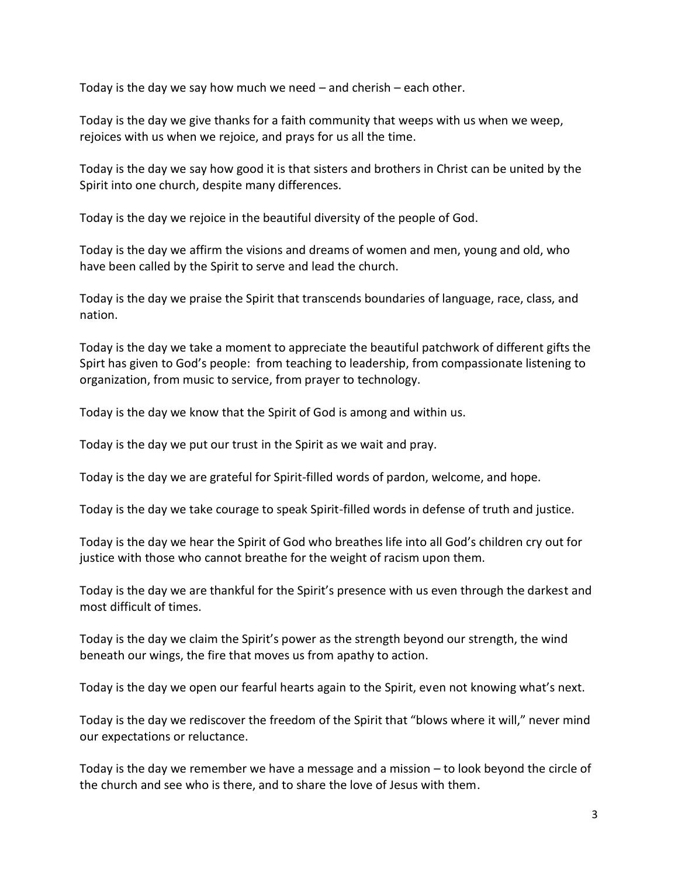Today is the day we say how much we need – and cherish – each other.

Today is the day we give thanks for a faith community that weeps with us when we weep, rejoices with us when we rejoice, and prays for us all the time.

Today is the day we say how good it is that sisters and brothers in Christ can be united by the Spirit into one church, despite many differences.

Today is the day we rejoice in the beautiful diversity of the people of God.

Today is the day we affirm the visions and dreams of women and men, young and old, who have been called by the Spirit to serve and lead the church.

Today is the day we praise the Spirit that transcends boundaries of language, race, class, and nation.

Today is the day we take a moment to appreciate the beautiful patchwork of different gifts the Spirt has given to God's people: from teaching to leadership, from compassionate listening to organization, from music to service, from prayer to technology.

Today is the day we know that the Spirit of God is among and within us.

Today is the day we put our trust in the Spirit as we wait and pray.

Today is the day we are grateful for Spirit-filled words of pardon, welcome, and hope.

Today is the day we take courage to speak Spirit-filled words in defense of truth and justice.

Today is the day we hear the Spirit of God who breathes life into all God's children cry out for justice with those who cannot breathe for the weight of racism upon them.

Today is the day we are thankful for the Spirit's presence with us even through the darkest and most difficult of times.

Today is the day we claim the Spirit's power as the strength beyond our strength, the wind beneath our wings, the fire that moves us from apathy to action.

Today is the day we open our fearful hearts again to the Spirit, even not knowing what's next.

Today is the day we rediscover the freedom of the Spirit that "blows where it will," never mind our expectations or reluctance.

Today is the day we remember we have a message and a mission – to look beyond the circle of the church and see who is there, and to share the love of Jesus with them.